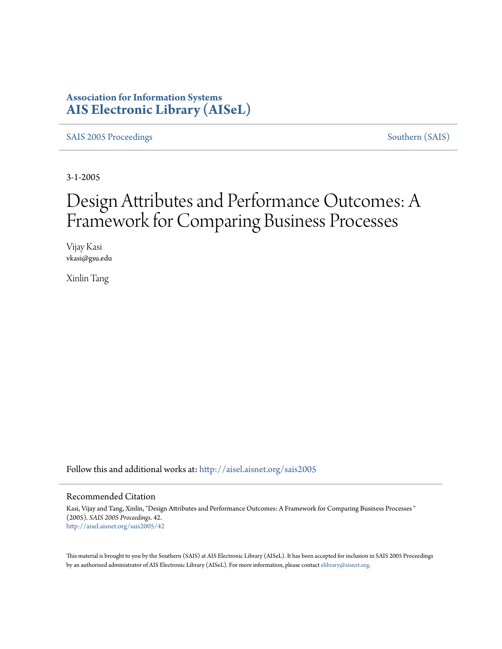## **Association for Information Systems [AIS Electronic Library \(AISeL\)](http://aisel.aisnet.org?utm_source=aisel.aisnet.org%2Fsais2005%2F42&utm_medium=PDF&utm_campaign=PDFCoverPages)**

[SAIS 2005 Proceedings](http://aisel.aisnet.org/sais2005?utm_source=aisel.aisnet.org%2Fsais2005%2F42&utm_medium=PDF&utm_campaign=PDFCoverPages) [Southern \(SAIS\)](http://aisel.aisnet.org/sais?utm_source=aisel.aisnet.org%2Fsais2005%2F42&utm_medium=PDF&utm_campaign=PDFCoverPages)

3-1-2005

# Design Attributes and Performance Outcomes: A Framework for Comparing Business Processes

Vijay Kasi vkasi@gsu.edu

Xinlin Tang

Follow this and additional works at: [http://aisel.aisnet.org/sais2005](http://aisel.aisnet.org/sais2005?utm_source=aisel.aisnet.org%2Fsais2005%2F42&utm_medium=PDF&utm_campaign=PDFCoverPages)

#### Recommended Citation

Kasi, Vijay and Tang, Xinlin, "Design Attributes and Performance Outcomes: A Framework for Comparing Business Processes " (2005). *SAIS 2005 Proceedings*. 42. [http://aisel.aisnet.org/sais2005/42](http://aisel.aisnet.org/sais2005/42?utm_source=aisel.aisnet.org%2Fsais2005%2F42&utm_medium=PDF&utm_campaign=PDFCoverPages)

This material is brought to you by the Southern (SAIS) at AIS Electronic Library (AISeL). It has been accepted for inclusion in SAIS 2005 Proceedings by an authorized administrator of AIS Electronic Library (AISeL). For more information, please contact [elibrary@aisnet.org](mailto:elibrary@aisnet.org%3E).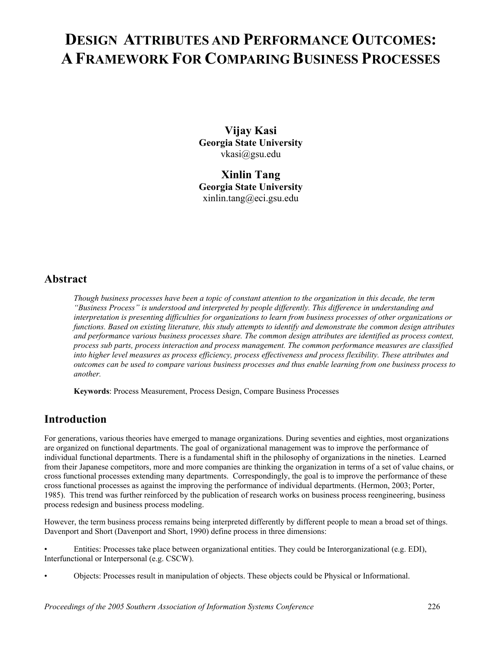## **DESIGN ATTRIBUTES AND PERFORMANCE OUTCOMES: A FRAMEWORK FOR COMPARING BUSINESS PROCESSES**

**Vijay Kasi Georgia State University**  vkasi@gsu.edu

**Xinlin Tang Georgia State University**  xinlin.tang@eci.gsu.edu

## **Abstract**

*Though business processes have been a topic of constant attention to the organization in this decade, the term "Business Process" is understood and interpreted by people differently. This difference in understanding and interpretation is presenting difficulties for organizations to learn from business processes of other organizations or functions. Based on existing literature, this study attempts to identify and demonstrate the common design attributes and performance various business processes share. The common design attributes are identified as process context, process sub parts, process interaction and process management. The common performance measures are classified into higher level measures as process efficiency, process effectiveness and process flexibility. These attributes and outcomes can be used to compare various business processes and thus enable learning from one business process to another.* 

**Keywords**: Process Measurement, Process Design, Compare Business Processes

## **Introduction**

For generations, various theories have emerged to manage organizations. During seventies and eighties, most organizations are organized on functional departments. The goal of organizational management was to improve the performance of individual functional departments. There is a fundamental shift in the philosophy of organizations in the nineties. Learned from their Japanese competitors, more and more companies are thinking the organization in terms of a set of value chains, or cross functional processes extending many departments. Correspondingly, the goal is to improve the performance of these cross functional processes as against the improving the performance of individual departments. (Hermon, 2003; Porter, 1985). This trend was further reinforced by the publication of research works on business process reengineering, business process redesign and business process modeling.

However, the term business process remains being interpreted differently by different people to mean a broad set of things. Davenport and Short (Davenport and Short, 1990) define process in three dimensions:

• Entities: Processes take place between organizational entities. They could be Interorganizational (e.g. EDI), Interfunctional or Interpersonal (e.g. CSCW).

• Objects: Processes result in manipulation of objects. These objects could be Physical or Informational.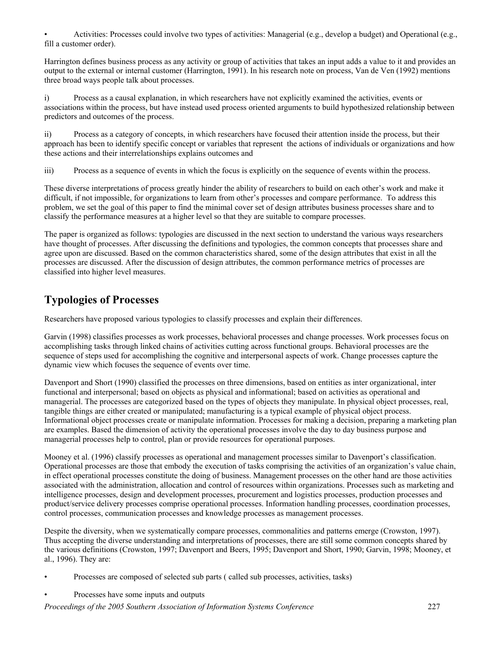• Activities: Processes could involve two types of activities: Managerial (e.g., develop a budget) and Operational (e.g., fill a customer order).

Harrington defines business process as any activity or group of activities that takes an input adds a value to it and provides an output to the external or internal customer (Harrington, 1991). In his research note on process, Van de Ven (1992) mentions three broad ways people talk about processes.

i) Process as a causal explanation, in which researchers have not explicitly examined the activities, events or associations within the process, but have instead used process oriented arguments to build hypothesized relationship between predictors and outcomes of the process.

ii) Process as a category of concepts, in which researchers have focused their attention inside the process, but their approach has been to identify specific concept or variables that represent the actions of individuals or organizations and how these actions and their interrelationships explains outcomes and

iii) Process as a sequence of events in which the focus is explicitly on the sequence of events within the process.

These diverse interpretations of process greatly hinder the ability of researchers to build on each other's work and make it difficult, if not impossible, for organizations to learn from other's processes and compare performance. To address this problem, we set the goal of this paper to find the minimal cover set of design attributes business processes share and to classify the performance measures at a higher level so that they are suitable to compare processes.

The paper is organized as follows: typologies are discussed in the next section to understand the various ways researchers have thought of processes. After discussing the definitions and typologies, the common concepts that processes share and agree upon are discussed. Based on the common characteristics shared, some of the design attributes that exist in all the processes are discussed. After the discussion of design attributes, the common performance metrics of processes are classified into higher level measures.

## **Typologies of Processes**

Researchers have proposed various typologies to classify processes and explain their differences.

Garvin (1998) classifies processes as work processes, behavioral processes and change processes. Work processes focus on accomplishing tasks through linked chains of activities cutting across functional groups. Behavioral processes are the sequence of steps used for accomplishing the cognitive and interpersonal aspects of work. Change processes capture the dynamic view which focuses the sequence of events over time.

Davenport and Short (1990) classified the processes on three dimensions, based on entities as inter organizational, inter functional and interpersonal; based on objects as physical and informational; based on activities as operational and managerial. The processes are categorized based on the types of objects they manipulate. In physical object processes, real, tangible things are either created or manipulated; manufacturing is a typical example of physical object process. Informational object processes create or manipulate information. Processes for making a decision, preparing a marketing plan are examples. Based the dimension of activity the operational processes involve the day to day business purpose and managerial processes help to control, plan or provide resources for operational purposes.

Mooney et al. (1996) classify processes as operational and management processes similar to Davenport's classification. Operational processes are those that embody the execution of tasks comprising the activities of an organization's value chain, in effect operational processes constitute the doing of business. Management processes on the other hand are those activities associated with the administration, allocation and control of resources within organizations. Processes such as marketing and intelligence processes, design and development processes, procurement and logistics processes, production processes and product/service delivery processes comprise operational processes. Information handling processes, coordination processes, control processes, communication processes and knowledge processes as management processes.

Despite the diversity, when we systematically compare processes, commonalities and patterns emerge (Crowston, 1997). Thus accepting the diverse understanding and interpretations of processes, there are still some common concepts shared by the various definitions (Crowston, 1997; Davenport and Beers, 1995; Davenport and Short, 1990; Garvin, 1998; Mooney, et al., 1996). They are:

- Processes are composed of selected sub parts ( called sub processes, activities, tasks)
- Processes have some inputs and outputs

*Proceedings of the 2005 Southern Association of Information Systems Conference* 227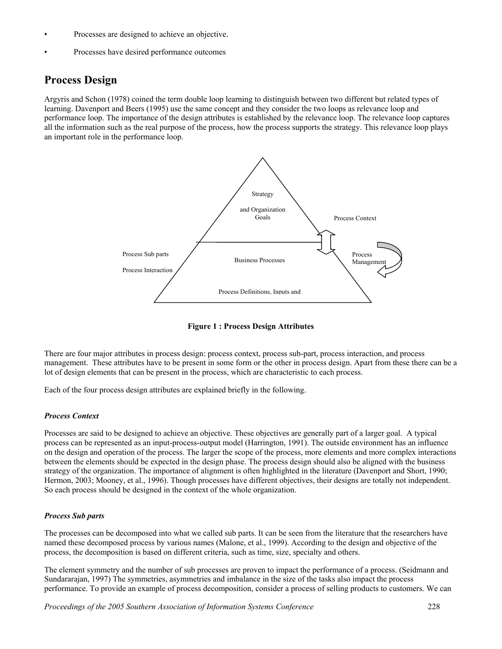- Processes are designed to achieve an objective.
- Processes have desired performance outcomes

## **Process Design**

Argyris and Schon (1978) coined the term double loop learning to distinguish between two different but related types of learning. Davenport and Beers (1995) use the same concept and they consider the two loops as relevance loop and performance loop. The importance of the design attributes is established by the relevance loop. The relevance loop captures all the information such as the real purpose of the process, how the process supports the strategy. This relevance loop plays an important role in the performance loop.



**Figure 1 : Process Design Attributes**

There are four major attributes in process design: process context, process sub-part, process interaction, and process management. These attributes have to be present in some form or the other in process design. Apart from these there can be a lot of design elements that can be present in the process, which are characteristic to each process.

Each of the four process design attributes are explained briefly in the following.

#### *Process Context*

Processes are said to be designed to achieve an objective. These objectives are generally part of a larger goal. A typical process can be represented as an input-process-output model (Harrington, 1991). The outside environment has an influence on the design and operation of the process. The larger the scope of the process, more elements and more complex interactions between the elements should be expected in the design phase. The process design should also be aligned with the business strategy of the organization. The importance of alignment is often highlighted in the literature (Davenport and Short, 1990; Hermon, 2003; Mooney, et al., 1996). Though processes have different objectives, their designs are totally not independent. So each process should be designed in the context of the whole organization.

#### *Process Sub parts*

The processes can be decomposed into what we called sub parts. It can be seen from the literature that the researchers have named these decomposed process by various names (Malone, et al., 1999). According to the design and objective of the process, the decomposition is based on different criteria, such as time, size, specialty and others.

The element symmetry and the number of sub processes are proven to impact the performance of a process. (Seidmann and Sundararajan, 1997) The symmetries, asymmetries and imbalance in the size of the tasks also impact the process performance. To provide an example of process decomposition, consider a process of selling products to customers. We can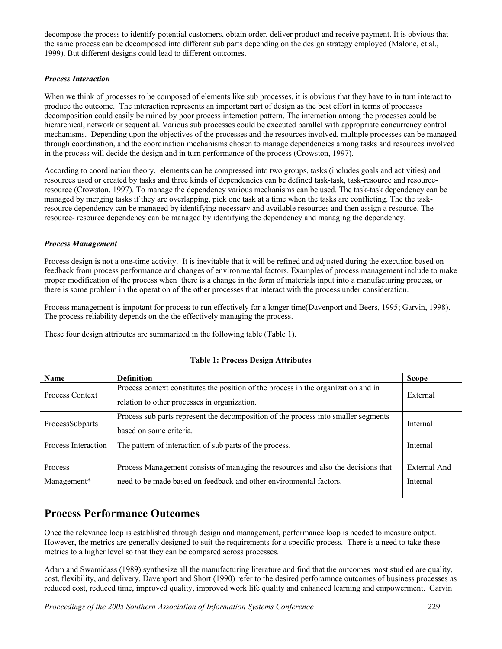decompose the process to identify potential customers, obtain order, deliver product and receive payment. It is obvious that the same process can be decomposed into different sub parts depending on the design strategy employed (Malone, et al., 1999). But different designs could lead to different outcomes.

#### *Process Interaction*

When we think of processes to be composed of elements like sub processes, it is obvious that they have to in turn interact to produce the outcome. The interaction represents an important part of design as the best effort in terms of processes decomposition could easily be ruined by poor process interaction pattern. The interaction among the processes could be hierarchical, network or sequential. Various sub processes could be executed parallel with appropriate concurrency control mechanisms. Depending upon the objectives of the processes and the resources involved, multiple processes can be managed through coordination, and the coordination mechanisms chosen to manage dependencies among tasks and resources involved in the process will decide the design and in turn performance of the process (Crowston, 1997).

According to coordination theory, elements can be compressed into two groups, tasks (includes goals and activities) and resources used or created by tasks and three kinds of dependencies can be defined task-task, task-resource and resourceresource (Crowston, 1997). To manage the dependency various mechanisms can be used. The task-task dependency can be managed by merging tasks if they are overlapping, pick one task at a time when the tasks are conflicting. The the taskresource dependency can be managed by identifying necessary and available resources and then assign a resource. The resource- resource dependency can be managed by identifying the dependency and managing the dependency.

#### *Process Management*

Process design is not a one-time activity. It is inevitable that it will be refined and adjusted during the execution based on feedback from process performance and changes of environmental factors. Examples of process management include to make proper modification of the process when there is a change in the form of materials input into a manufacturing process, or there is some problem in the operation of the other processes that interact with the process under consideration.

Process management is impotant for process to run effectively for a longer time(Davenport and Beers, 1995; Garvin, 1998). The process reliability depends on the the effectively managing the process.

These four design attributes are summarized in the following table (Table 1).

| <b>Name</b>                   | <b>Definition</b>                                                                                                                                       | <b>Scope</b>             |
|-------------------------------|---------------------------------------------------------------------------------------------------------------------------------------------------------|--------------------------|
| Process Context               | Process context constitutes the position of the process in the organization and in<br>relation to other processes in organization.                      | External                 |
| ProcessSubparts               | Process sub parts represent the decomposition of the process into smaller segments<br>based on some criteria.                                           | Internal                 |
| Process Interaction           | The pattern of interaction of sub parts of the process.                                                                                                 | Internal                 |
| <b>Process</b><br>Management* | Process Management consists of managing the resources and also the decisions that<br>need to be made based on feedback and other environmental factors. | External And<br>Internal |

#### **Table 1: Process Design Attributes**

## **Process Performance Outcomes**

Once the relevance loop is established through design and management, performance loop is needed to measure output. However, the metrics are generally designed to suit the requirements for a specific process. There is a need to take these metrics to a higher level so that they can be compared across processes.

Adam and Swamidass (1989) synthesize all the manufacturing literature and find that the outcomes most studied are quality, cost, flexibility, and delivery. Davenport and Short (1990) refer to the desired perforamnce outcomes of business processes as reduced cost, reduced time, improved quality, improved work life quality and enhanced learning and empowerment. Garvin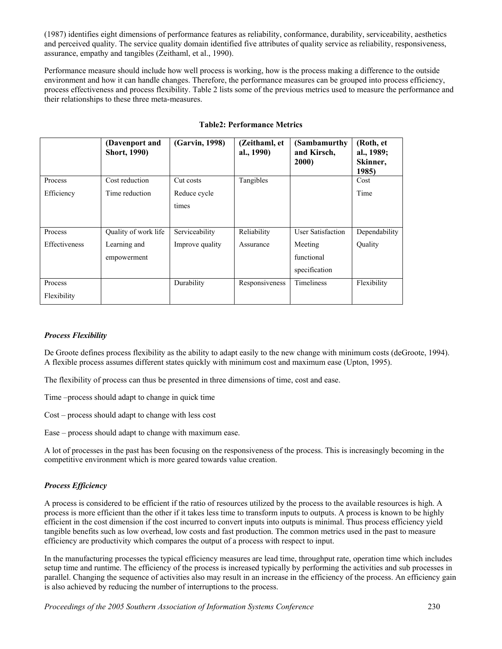(1987) identifies eight dimensions of performance features as reliability, conformance, durability, serviceability, aesthetics and perceived quality. The service quality domain identified five attributes of quality service as reliability, responsiveness, assurance, empathy and tangibles (Zeithaml, et al., 1990).

Performance measure should include how well process is working, how is the process making a difference to the outside environment and how it can handle changes. Therefore, the performance measures can be grouped into process efficiency, process effectiveness and process flexibility. Table 2 lists some of the previous metrics used to measure the performance and their relationships to these three meta-measures.

|                      | (Davenport and<br><b>Short, 1990)</b> | (Garvin, 1998)  | (Zeithaml, et<br>al., 1990) | (Sambamurthy)<br>and Kirsch,<br>2000) | (Roth, et<br>al., 1989;<br>Skinner,<br>1985) |
|----------------------|---------------------------------------|-----------------|-----------------------------|---------------------------------------|----------------------------------------------|
| Process              | Cost reduction                        | Cut costs       | Tangibles                   |                                       | Cost                                         |
| Efficiency           | Time reduction                        | Reduce cycle    |                             |                                       | Time                                         |
|                      |                                       | times           |                             |                                       |                                              |
| Process              | Quality of work life                  | Serviceability  | Reliability                 | <b>User Satisfaction</b>              | Dependability                                |
| <b>Effectiveness</b> | Learning and                          | Improve quality | Assurance                   | Meeting                               | Quality                                      |
|                      | empowerment                           |                 |                             | functional                            |                                              |
|                      |                                       |                 |                             | specification                         |                                              |
| Process              |                                       | Durability      | Responsiveness              | <b>Timeliness</b>                     | Flexibility                                  |
| Flexibility          |                                       |                 |                             |                                       |                                              |

#### **Table2: Performance Metrics**

#### *Process Flexibility*

De Groote defines process flexibility as the ability to adapt easily to the new change with minimum costs (deGroote, 1994). A flexible process assumes different states quickly with minimum cost and maximum ease (Upton, 1995).

The flexibility of process can thus be presented in three dimensions of time, cost and ease.

Time –process should adapt to change in quick time

Cost – process should adapt to change with less cost

Ease – process should adapt to change with maximum ease.

A lot of processes in the past has been focusing on the responsiveness of the process. This is increasingly becoming in the competitive environment which is more geared towards value creation.

#### *Process Efficiency*

A process is considered to be efficient if the ratio of resources utilized by the process to the available resources is high. A process is more efficient than the other if it takes less time to transform inputs to outputs. A process is known to be highly efficient in the cost dimension if the cost incurred to convert inputs into outputs is minimal. Thus process efficiency yield tangible benefits such as low overhead, low costs and fast production. The common metrics used in the past to measure efficiency are productivity which compares the output of a process with respect to input.

In the manufacturing processes the typical efficiency measures are lead time, throughput rate, operation time which includes setup time and runtime. The efficiency of the process is increased typically by performing the activities and sub processes in parallel. Changing the sequence of activities also may result in an increase in the efficiency of the process. An efficiency gain is also achieved by reducing the number of interruptions to the process.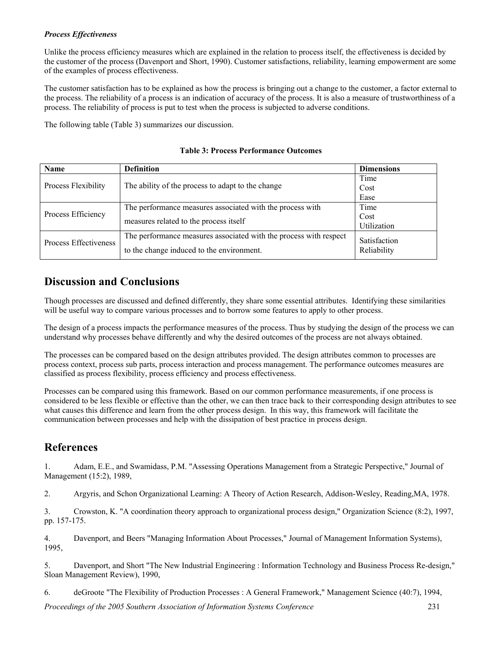#### *Process Effectiveness*

Unlike the process efficiency measures which are explained in the relation to process itself, the effectiveness is decided by the customer of the process (Davenport and Short, 1990). Customer satisfactions, reliability, learning empowerment are some of the examples of process effectiveness.

The customer satisfaction has to be explained as how the process is bringing out a change to the customer, a factor external to the process. The reliability of a process is an indication of accuracy of the process. It is also a measure of trustworthiness of a process. The reliability of process is put to test when the process is subjected to adverse conditions.

The following table (Table 3) summarizes our discussion.

| Name                  | <b>Definition</b>                                                 | <b>Dimensions</b> |  |
|-----------------------|-------------------------------------------------------------------|-------------------|--|
|                       |                                                                   | Time              |  |
| Process Flexibility   | The ability of the process to adapt to the change                 | Cost              |  |
|                       |                                                                   | Ease              |  |
|                       | The performance measures associated with the process with         | Time              |  |
| Process Efficiency    | measures related to the process itself                            | Cost              |  |
|                       |                                                                   | Utilization       |  |
| Process Effectiveness | The performance measures associated with the process with respect | Satisfaction      |  |
|                       | to the change induced to the environment.                         | Reliability       |  |
|                       |                                                                   |                   |  |

**Table 3: Process Performance Outcomes**

## **Discussion and Conclusions**

Though processes are discussed and defined differently, they share some essential attributes. Identifying these similarities will be useful way to compare various processes and to borrow some features to apply to other process.

The design of a process impacts the performance measures of the process. Thus by studying the design of the process we can understand why processes behave differently and why the desired outcomes of the process are not always obtained.

The processes can be compared based on the design attributes provided. The design attributes common to processes are process context, process sub parts, process interaction and process management. The performance outcomes measures are classified as process flexibility, process efficiency and process effectiveness.

Processes can be compared using this framework. Based on our common performance measurements, if one process is considered to be less flexible or effective than the other, we can then trace back to their corresponding design attributes to see what causes this difference and learn from the other process design. In this way, this framework will facilitate the communication between processes and help with the dissipation of best practice in process design.

## **References**

1. Adam, E.E., and Swamidass, P.M. "Assessing Operations Management from a Strategic Perspective," Journal of Management (15:2), 1989,

2. Argyris, and Schon Organizational Learning: A Theory of Action Research, Addison-Wesley, Reading,MA, 1978.

3. Crowston, K. "A coordination theory approach to organizational process design," Organization Science (8:2), 1997, pp. 157-175.

4. Davenport, and Beers "Managing Information About Processes," Journal of Management Information Systems), 1995,

5. Davenport, and Short "The New Industrial Engineering : Information Technology and Business Process Re-design," Sloan Management Review), 1990,

6. deGroote "The Flexibility of Production Processes : A General Framework," Management Science (40:7), 1994,

*Proceedings of the 2005 Southern Association of Information Systems Conference* 231